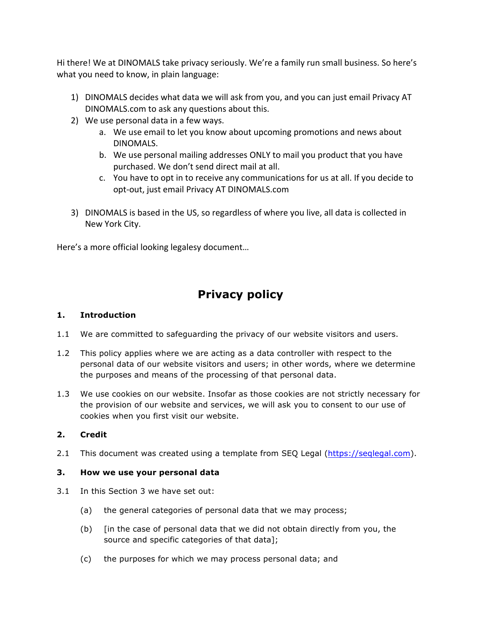Hi there! We at DINOMALS take privacy seriously. We're a family run small business. So here's what you need to know, in plain language:

- 1) DINOMALS decides what data we will ask from you, and you can just email Privacy AT DINOMALS.com to ask any questions about this.
- 2) We use personal data in a few ways.
	- a. We use email to let you know about upcoming promotions and news about DINOMALS.
	- b. We use personal mailing addresses ONLY to mail you product that you have purchased. We don't send direct mail at all.
	- c. You have to opt in to receive any communications for us at all. If you decide to opt-out, just email Privacy AT DINOMALS.com
- 3) DINOMALS is based in the US, so regardless of where you live, all data is collected in New York City.

Here's a more official looking legalesy document...

# **Privacy policy**

#### **1. Introduction**

- 1.1 We are committed to safeguarding the privacy of our website visitors and users.
- 1.2 This policy applies where we are acting as a data controller with respect to the personal data of our website visitors and users; in other words, where we determine the purposes and means of the processing of that personal data.
- 1.3 We use cookies on our website. Insofar as those cookies are not strictly necessary for the provision of our website and services, we will ask you to consent to our use of cookies when you first visit our website.

## **2. Credit**

2.1 This document was created using a template from SEQ Legal (https://seqlegal.com).

## **3. How we use your personal data**

- 3.1 In this Section 3 we have set out:
	- (a) the general categories of personal data that we may process;
	- (b) [in the case of personal data that we did not obtain directly from you, the source and specific categories of that data];
	- (c) the purposes for which we may process personal data; and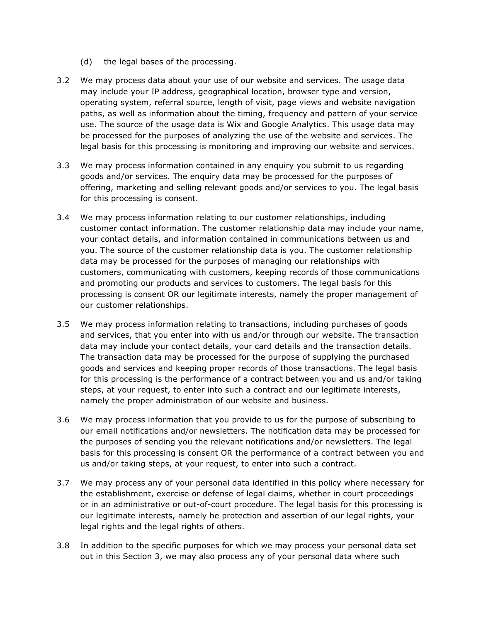- (d) the legal bases of the processing.
- 3.2 We may process data about your use of our website and services. The usage data may include your IP address, geographical location, browser type and version, operating system, referral source, length of visit, page views and website navigation paths, as well as information about the timing, frequency and pattern of your service use. The source of the usage data is Wix and Google Analytics. This usage data may be processed for the purposes of analyzing the use of the website and services. The legal basis for this processing is monitoring and improving our website and services.
- 3.3 We may process information contained in any enquiry you submit to us regarding goods and/or services. The enquiry data may be processed for the purposes of offering, marketing and selling relevant goods and/or services to you. The legal basis for this processing is consent.
- 3.4 We may process information relating to our customer relationships, including customer contact information. The customer relationship data may include your name, your contact details, and information contained in communications between us and you. The source of the customer relationship data is you. The customer relationship data may be processed for the purposes of managing our relationships with customers, communicating with customers, keeping records of those communications and promoting our products and services to customers. The legal basis for this processing is consent OR our legitimate interests, namely the proper management of our customer relationships.
- 3.5 We may process information relating to transactions, including purchases of goods and services, that you enter into with us and/or through our website. The transaction data may include your contact details, your card details and the transaction details. The transaction data may be processed for the purpose of supplying the purchased goods and services and keeping proper records of those transactions. The legal basis for this processing is the performance of a contract between you and us and/or taking steps, at your request, to enter into such a contract and our legitimate interests, namely the proper administration of our website and business.
- 3.6 We may process information that you provide to us for the purpose of subscribing to our email notifications and/or newsletters. The notification data may be processed for the purposes of sending you the relevant notifications and/or newsletters. The legal basis for this processing is consent OR the performance of a contract between you and us and/or taking steps, at your request, to enter into such a contract.
- 3.7 We may process any of your personal data identified in this policy where necessary for the establishment, exercise or defense of legal claims, whether in court proceedings or in an administrative or out-of-court procedure. The legal basis for this processing is our legitimate interests, namely he protection and assertion of our legal rights, your legal rights and the legal rights of others.
- 3.8 In addition to the specific purposes for which we may process your personal data set out in this Section 3, we may also process any of your personal data where such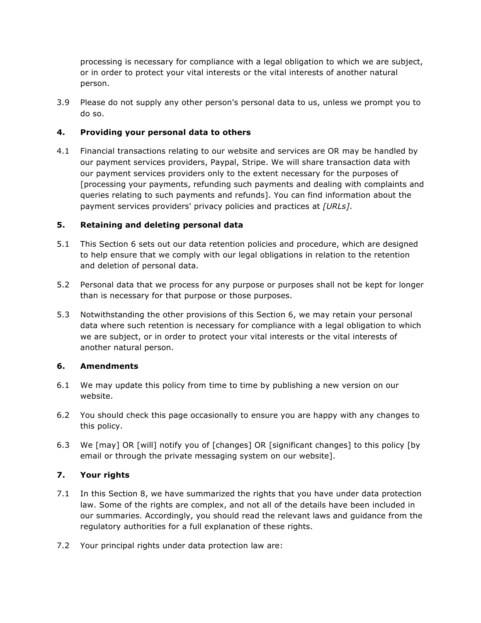processing is necessary for compliance with a legal obligation to which we are subject, or in order to protect your vital interests or the vital interests of another natural person.

3.9 Please do not supply any other person's personal data to us, unless we prompt you to do so.

# **4. Providing your personal data to others**

4.1 Financial transactions relating to our website and services are OR may be handled by our payment services providers, Paypal, Stripe. We will share transaction data with our payment services providers only to the extent necessary for the purposes of [processing your payments, refunding such payments and dealing with complaints and queries relating to such payments and refunds]. You can find information about the payment services providers' privacy policies and practices at *[URLs]*.

## **5. Retaining and deleting personal data**

- 5.1 This Section 6 sets out our data retention policies and procedure, which are designed to help ensure that we comply with our legal obligations in relation to the retention and deletion of personal data.
- 5.2 Personal data that we process for any purpose or purposes shall not be kept for longer than is necessary for that purpose or those purposes.
- 5.3 Notwithstanding the other provisions of this Section 6, we may retain your personal data where such retention is necessary for compliance with a legal obligation to which we are subject, or in order to protect your vital interests or the vital interests of another natural person.

## **6. Amendments**

- 6.1 We may update this policy from time to time by publishing a new version on our website.
- 6.2 You should check this page occasionally to ensure you are happy with any changes to this policy.
- 6.3 We [may] OR [will] notify you of [changes] OR [significant changes] to this policy [by email or through the private messaging system on our website].

## **7. Your rights**

- 7.1 In this Section 8, we have summarized the rights that you have under data protection law. Some of the rights are complex, and not all of the details have been included in our summaries. Accordingly, you should read the relevant laws and guidance from the regulatory authorities for a full explanation of these rights.
- 7.2 Your principal rights under data protection law are: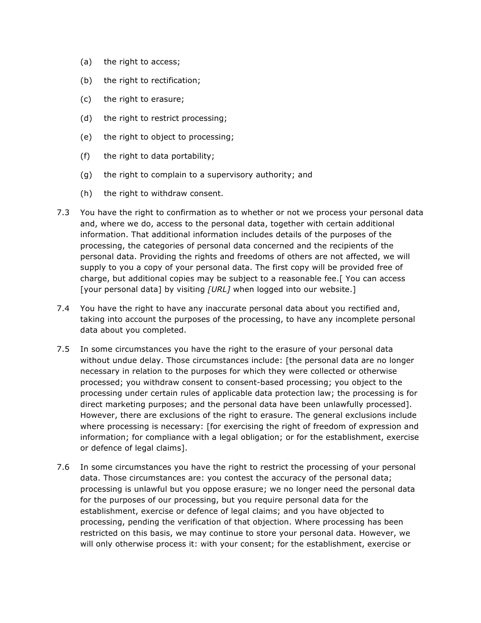- (a) the right to access;
- (b) the right to rectification;
- (c) the right to erasure;
- (d) the right to restrict processing;
- (e) the right to object to processing;
- (f) the right to data portability;
- (g) the right to complain to a supervisory authority; and
- (h) the right to withdraw consent.
- 7.3 You have the right to confirmation as to whether or not we process your personal data and, where we do, access to the personal data, together with certain additional information. That additional information includes details of the purposes of the processing, the categories of personal data concerned and the recipients of the personal data. Providing the rights and freedoms of others are not affected, we will supply to you a copy of your personal data. The first copy will be provided free of charge, but additional copies may be subject to a reasonable fee.[ You can access [your personal data] by visiting *[URL]* when logged into our website.]
- 7.4 You have the right to have any inaccurate personal data about you rectified and, taking into account the purposes of the processing, to have any incomplete personal data about you completed.
- 7.5 In some circumstances you have the right to the erasure of your personal data without undue delay. Those circumstances include: [the personal data are no longer necessary in relation to the purposes for which they were collected or otherwise processed; you withdraw consent to consent-based processing; you object to the processing under certain rules of applicable data protection law; the processing is for direct marketing purposes; and the personal data have been unlawfully processed]. However, there are exclusions of the right to erasure. The general exclusions include where processing is necessary: [for exercising the right of freedom of expression and information; for compliance with a legal obligation; or for the establishment, exercise or defence of legal claims].
- 7.6 In some circumstances you have the right to restrict the processing of your personal data. Those circumstances are: you contest the accuracy of the personal data; processing is unlawful but you oppose erasure; we no longer need the personal data for the purposes of our processing, but you require personal data for the establishment, exercise or defence of legal claims; and you have objected to processing, pending the verification of that objection. Where processing has been restricted on this basis, we may continue to store your personal data. However, we will only otherwise process it: with your consent; for the establishment, exercise or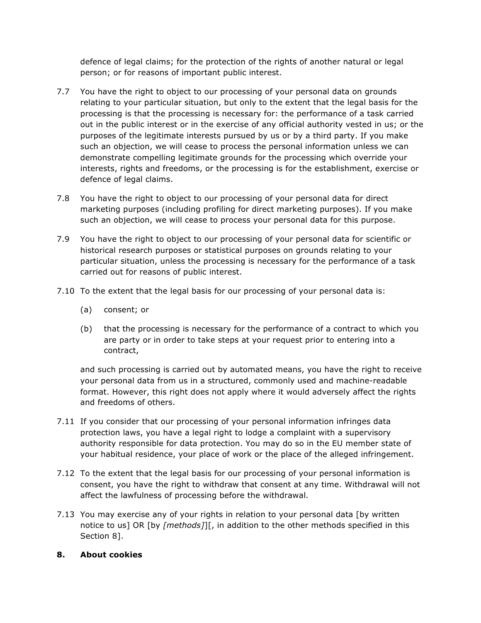defence of legal claims; for the protection of the rights of another natural or legal person; or for reasons of important public interest.

- 7.7 You have the right to object to our processing of your personal data on grounds relating to your particular situation, but only to the extent that the legal basis for the processing is that the processing is necessary for: the performance of a task carried out in the public interest or in the exercise of any official authority vested in us; or the purposes of the legitimate interests pursued by us or by a third party. If you make such an objection, we will cease to process the personal information unless we can demonstrate compelling legitimate grounds for the processing which override your interests, rights and freedoms, or the processing is for the establishment, exercise or defence of legal claims.
- 7.8 You have the right to object to our processing of your personal data for direct marketing purposes (including profiling for direct marketing purposes). If you make such an objection, we will cease to process your personal data for this purpose.
- 7.9 You have the right to object to our processing of your personal data for scientific or historical research purposes or statistical purposes on grounds relating to your particular situation, unless the processing is necessary for the performance of a task carried out for reasons of public interest.
- 7.10 To the extent that the legal basis for our processing of your personal data is:
	- (a) consent; or
	- (b) that the processing is necessary for the performance of a contract to which you are party or in order to take steps at your request prior to entering into a contract,

and such processing is carried out by automated means, you have the right to receive your personal data from us in a structured, commonly used and machine-readable format. However, this right does not apply where it would adversely affect the rights and freedoms of others.

- 7.11 If you consider that our processing of your personal information infringes data protection laws, you have a legal right to lodge a complaint with a supervisory authority responsible for data protection. You may do so in the EU member state of your habitual residence, your place of work or the place of the alleged infringement.
- 7.12 To the extent that the legal basis for our processing of your personal information is consent, you have the right to withdraw that consent at any time. Withdrawal will not affect the lawfulness of processing before the withdrawal.
- 7.13 You may exercise any of your rights in relation to your personal data [by written notice to us] OR [by *[methods]*][, in addition to the other methods specified in this Section 8].

#### **8. About cookies**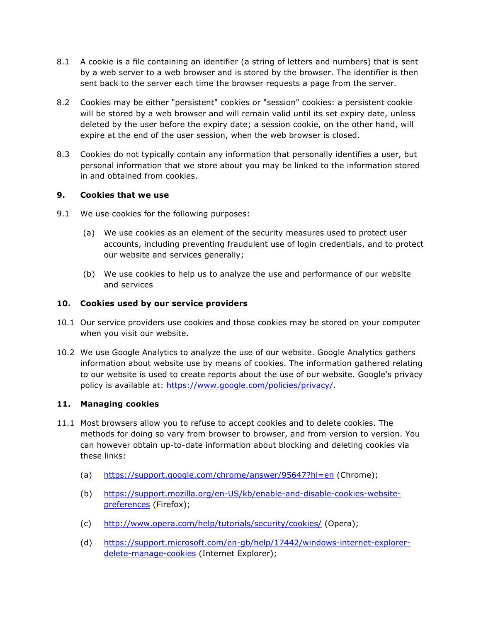- 8.1 A cookie is a file containing an identifier (a string of letters and numbers) that is sent by a web server to a web browser and is stored by the browser. The identifier is then sent back to the server each time the browser requests a page from the server.
- 8.2 Cookies may be either "persistent" cookies or "session" cookies: a persistent cookie will be stored by a web browser and will remain valid until its set expiry date, unless deleted by the user before the expiry date; a session cookie, on the other hand, will expire at the end of the user session, when the web browser is closed.
- 8.3 Cookies do not typically contain any information that personally identifies a user, but personal information that we store about you may be linked to the information stored in and obtained from cookies.

#### **9. Cookies that we use**

- 9.1 We use cookies for the following purposes:
	- (a) We use cookies as an element of the security measures used to protect user accounts, including preventing fraudulent use of login credentials, and to protect our website and services generally;
	- (b) We use cookies to help us to analyze the use and performance of our website and services

#### **10. Cookies used by our service providers**

- 10.1 Our service providers use cookies and those cookies may be stored on your computer when you visit our website.
- 10.2 We use Google Analytics to analyze the use of our website. Google Analytics gathers information about website use by means of cookies. The information gathered relating to our website is used to create reports about the use of our website. Google's privacy policy is available at: https://www.google.com/policies/privacy/.

#### **11. Managing cookies**

- 11.1 Most browsers allow you to refuse to accept cookies and to delete cookies. The methods for doing so vary from browser to browser, and from version to version. You can however obtain up-to-date information about blocking and deleting cookies via these links:
	- (a) https://support.google.com/chrome/answer/95647?hl=en (Chrome);
	- (b) https://support.mozilla.org/en-US/kb/enable-and-disable-cookies-websitepreferences (Firefox);
	- (c) http://www.opera.com/help/tutorials/security/cookies/ (Opera);
	- (d) https://support.microsoft.com/en-gb/help/17442/windows-internet-explorerdelete-manage-cookies (Internet Explorer);